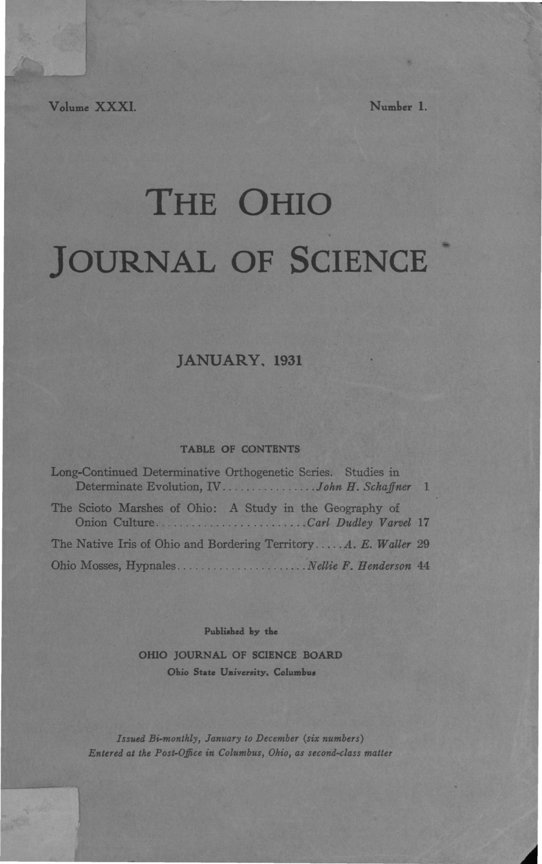Volume XXXI. Number 1.

# THE OHIO JOURNAL OF SCIENCE

## **JANUARY, 1931**

## **TABLE OF CONTENTS**

| Long-Continued Determinative Orthogenetic Series. Studies in<br>Determinate Evolution, IVJohn H. Schaffner 1 |  |
|--------------------------------------------------------------------------------------------------------------|--|
| The Scioto Marshes of Ohio: A Study in the Geography of<br>Onion CultureCarl Dudley Varvel 17                |  |
| The Native Iris of Ohio and Bordering TerritoryA. E. Waller 29                                               |  |
|                                                                                                              |  |

**Published by the**

**OHIO JOURNAL OF SCIENCE BOARD Ohio State University, Columbus**

*Issued Bi-monthly, January to December (six numbers) Entered at the Post-Office in Columbus, Ohio, as second-class matter*